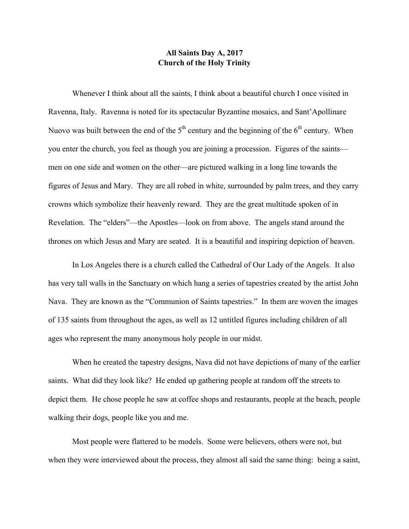## **All Saints Day A, 2017 Church of the Holy Trinity**

Whenever I think about all the saints, I think about a beautiful church I once visited in Ravenna, Italy. Ravenna is noted for its spectacular Byzantine mosaics, and Sant'Apollinare Nuovo was built between the end of the  $5<sup>th</sup>$  century and the beginning of the  $6<sup>th</sup>$  century. When you enter the church, you feel as though you are joining a procession. Figures of the saints men on one side and women on the other—are pictured walking in a long line towards the figures of Jesus and Mary. They are all robed in white, surrounded by palm trees, and they carry crowns which symbolize their heavenly reward. They are the great multitude spoken of in Revelation. The "elders"—the Apostles—look on from above. The angels stand around the thrones on which Jesus and Mary are seated. It is a beautiful and inspiring depiction of heaven.

In Los Angeles there is a church called the Cathedral of Our Lady of the Angels. It also has very tall walls in the Sanctuary on which hang a series of tapestries created by the artist John Nava. They are known as the "Communion of Saints tapestries." In them are woven the images of 135 saints from throughout the ages, as well as 12 untitled figures including children of all ages who represent the many anonymous holy people in our midst.

When he created the tapestry designs, Nava did not have depictions of many of the earlier saints. What did they look like? He ended up gathering people at random off the streets to depict them. He chose people he saw at coffee shops and restaurants, people at the beach, people walking their dogs, people like you and me.

Most people were flattered to be models. Some were believers, others were not, but when they were interviewed about the process, they almost all said the same thing: being a saint,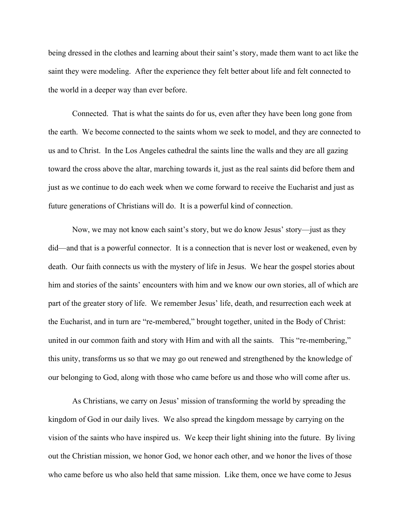being dressed in the clothes and learning about their saint's story, made them want to act like the saint they were modeling. After the experience they felt better about life and felt connected to the world in a deeper way than ever before.

Connected. That is what the saints do for us, even after they have been long gone from the earth. We become connected to the saints whom we seek to model, and they are connected to us and to Christ. In the Los Angeles cathedral the saints line the walls and they are all gazing toward the cross above the altar, marching towards it, just as the real saints did before them and just as we continue to do each week when we come forward to receive the Eucharist and just as future generations of Christians will do. It is a powerful kind of connection.

Now, we may not know each saint's story, but we do know Jesus' story—just as they did—and that is a powerful connector. It is a connection that is never lost or weakened, even by death. Our faith connects us with the mystery of life in Jesus. We hear the gospel stories about him and stories of the saints' encounters with him and we know our own stories, all of which are part of the greater story of life. We remember Jesus' life, death, and resurrection each week at the Eucharist, and in turn are "re-membered," brought together, united in the Body of Christ: united in our common faith and story with Him and with all the saints. This "re-membering," this unity, transforms us so that we may go out renewed and strengthened by the knowledge of our belonging to God, along with those who came before us and those who will come after us.

As Christians, we carry on Jesus' mission of transforming the world by spreading the kingdom of God in our daily lives. We also spread the kingdom message by carrying on the vision of the saints who have inspired us. We keep their light shining into the future. By living out the Christian mission, we honor God, we honor each other, and we honor the lives of those who came before us who also held that same mission. Like them, once we have come to Jesus